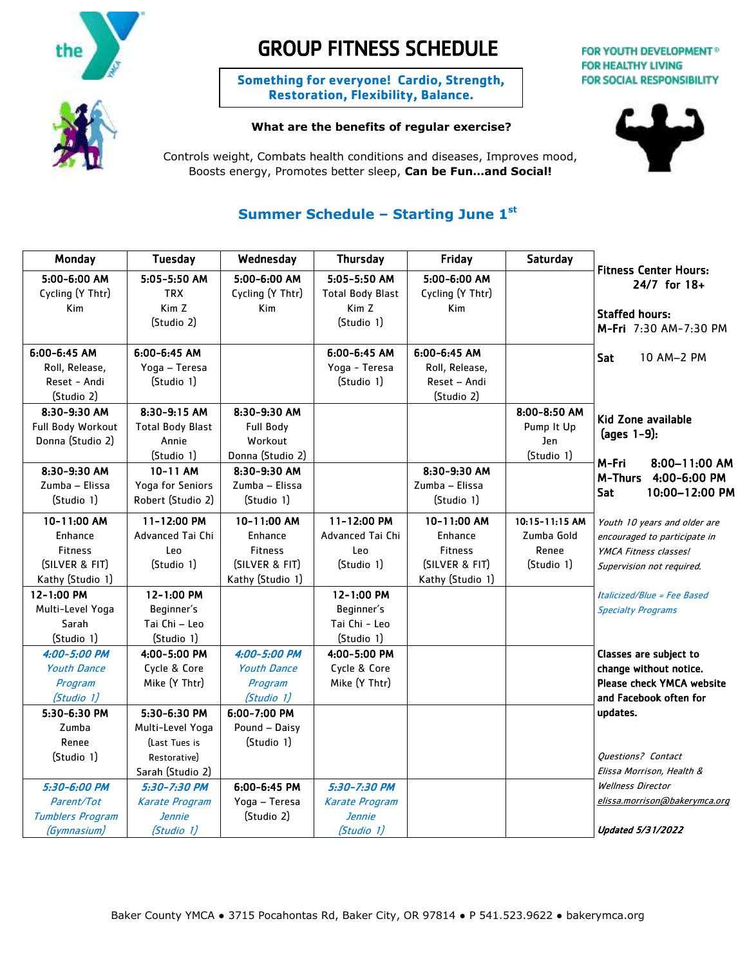



# GROUP FITNESS SCHEDULE

**Something for everyone! Cardio, Strength, Restoration, Flexibility, Balance.**

## **What are the benefits of regular exercise?**

FOR YOUTH DEVELOPMENT® **FOR HEALTHY LIVING** 

**FOR SOCIAL RESPONSIBILITY** 



Controls weight, Combats health conditions and diseases, Improves mood, Boosts energy, Promotes better sleep, **Can be Fun…and Social!**

# **Summer Schedule – Starting June 1st**

| Monday                                                                         | <b>Tuesday</b>                                                    | Wednesday                                                                      | <b>Thursday</b>                                         | Friday                                                                         | Saturday                                                |                                                                                                                    |
|--------------------------------------------------------------------------------|-------------------------------------------------------------------|--------------------------------------------------------------------------------|---------------------------------------------------------|--------------------------------------------------------------------------------|---------------------------------------------------------|--------------------------------------------------------------------------------------------------------------------|
| 5:00-6:00 AM<br>Cycling (Y Thtr)                                               | 5:05-5:50 AM<br><b>TRX</b>                                        | 5:00-6:00 AM<br>Cycling (Y Thtr)                                               | 5:05-5:50 AM<br><b>Total Body Blast</b>                 | 5:00-6:00 AM<br>Cycling (Y Thtr)                                               |                                                         | <b>Fitness Center Hours:</b><br>$24/7$ for $18+$                                                                   |
| Kim                                                                            | Kim Z<br>(Studio 2)                                               | <b>Kim</b>                                                                     | Kim Z<br>(Studio 1)                                     | Kim                                                                            |                                                         | <b>Staffed hours:</b><br>M-Fri 7:30 AM-7:30 PM                                                                     |
| $6:00 - 6:45$ AM<br>Roll, Release,<br>Reset - Andi<br>(Studio 2)               | $6:00 - 6:45$ AM<br>Yoga - Teresa<br>(Studio 1)                   |                                                                                | 6:00-6:45 AM<br>Yoga - Teresa<br>(Studio 1)             | $6:00 - 6:45$ AM<br>Roll, Release,<br>Reset - Andi<br>(Studio 2)               |                                                         | Sat<br>10 AM-2 PM                                                                                                  |
| 8:30-9:30 AM<br>Full Body Workout<br>Donna (Studio 2)                          | 8:30-9:15 AM<br><b>Total Body Blast</b><br>Annie<br>(Studio 1)    | 8:30-9:30 AM<br><b>Full Body</b><br>Workout<br>Donna (Studio 2)                |                                                         |                                                                                | 8:00-8:50 AM<br>Pump It Up<br>Jen<br>(Studio 1)         | Kid Zone available<br>$\frac{1}{2}$ (ages 1-9):                                                                    |
| 8:30-9:30 AM<br>Zumba - Elissa<br>(Studio 1)                                   | 10-11 AM<br>Yoga for Seniors<br>Robert (Studio 2)                 | 8:30-9:30 AM<br>Zumba – Elissa<br>(Studio 1)                                   |                                                         | 8:30-9:30 AM<br>Zumba - Elissa<br>(Studio 1)                                   |                                                         | M-Fri<br>$8:00-11:00$ AM<br>M-Thurs<br>4:00-6:00 PM<br>Sat<br>10:00-12:00 PM                                       |
| 10-11:00 AM<br>Enhance<br><b>Fitness</b><br>(SILVER & FIT)<br>Kathy (Studio 1) | 11-12:00 PM<br>Advanced Tai Chi<br>Leo<br>(Studio 1)              | 10-11:00 AM<br>Enhance<br><b>Fitness</b><br>(SILVER & FIT)<br>Kathy (Studio 1) | 11-12:00 PM<br>Advanced Tai Chi<br>Leo<br>(Studio 1)    | 10-11:00 AM<br>Enhance<br><b>Fitness</b><br>(SILVER & FIT)<br>Kathy (Studio 1) | $10:15 - 11:15$ AM<br>Zumba Gold<br>Renee<br>(Studio 1) | Youth 10 years and older are<br>encouraged to participate in<br>YMCA Fitness classes!<br>Supervision not required. |
| $12 - 1:00$ PM<br>Multi-Level Yoga<br>Sarah<br>(Studio 1)                      | 12-1:00 PM<br>Beginner's<br>Tai Chi – Leo<br>(Studio 1)           |                                                                                | 12-1:00 PM<br>Beginner's<br>Tai Chi - Leo<br>(Studio 1) |                                                                                |                                                         | Italicized/Blue = Fee Based<br><b>Specialty Programs</b>                                                           |
| 4:00-5:00 PM<br><b>Youth Dance</b><br>Program<br>(Studio 1)                    | 4:00-5:00 PM<br>Cycle & Core<br>Mike (Y Thtr)                     | 4:00-5:00 PM<br><b>Youth Dance</b><br>Program<br>(Studio 1)                    | 4:00-5:00 PM<br>Cycle & Core<br>Mike (Y Thtr)           |                                                                                |                                                         | Classes are subject to<br>change without notice.<br><b>Please check YMCA website</b><br>and Facebook often for     |
| 5:30-6:30 PM<br>Zumba<br>Renee<br>(Studio 1)                                   | 5:30-6:30 PM<br>Multi-Level Yoga<br>(Last Tues is<br>Restorative) | 6:00-7:00 PM<br>Pound - Daisy<br>(Studio 1)                                    |                                                         |                                                                                |                                                         | updates.<br><b>Ouestions?</b> Contact                                                                              |
| 5:30-6:00 PM<br>Parent/Tot                                                     | Sarah (Studio 2)<br>5:30-7:30 PM<br><b>Karate Program</b>         | $6:00 - 6:45$ PM<br>Yoga - Teresa                                              | 5:30-7:30 PM<br><b>Karate Program</b>                   |                                                                                |                                                         | Elissa Morrison, Health &<br><b>Wellness Director</b><br>elissa.morrison@bakerymca.org                             |
| <b>Tumblers Program</b><br>(Gymnasium)                                         | <b>Jennie</b><br>(Studio 1)                                       | (Studio 2)                                                                     | <b>Jennie</b><br>(Studio 1)                             |                                                                                |                                                         | <b>Updated 5/31/2022</b>                                                                                           |